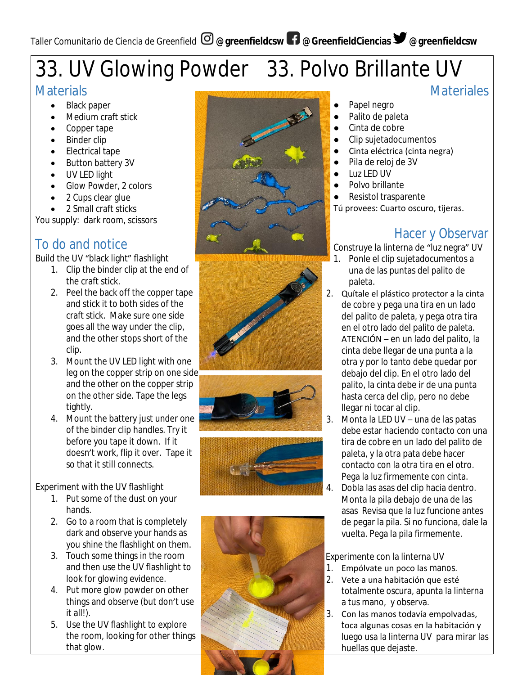# 33. UV Glowing Powder 33. Polvo Brillante UV

## **Materials**

- Black paper
- Medium craft stick
- Copper tape
- Binder clip
- Electrical tape
- Button battery 3V
- UV LED light
- Glow Powder, 2 colors
- 2 Cups clear glue
- 2 Small craft sticks

You supply: dark room, scissors

## To do and notice

Build the UV "black light" flashlight

- 1. Clip the binder clip at the end of the craft stick.
- 2. Peel the back off the copper tape and stick it to both sides of the craft stick. Make sure one side goes all the way under the clip, and the other stops short of the clip.
- 3. Mount the UV LED light with one leg on the copper strip on one side and the other on the copper strip on the other side. Tape the legs tightly.
- 4. Mount the battery just under one of the binder clip handles. Try it before you tape it down. If it doesn't work, flip it over. Tape it so that it still connects.

Experiment with the UV flashlight

- 1. Put some of the dust on your hands.
- 2. Go to a room that is completely dark and observe your hands as you shine the flashlight on them.
- 3. Touch some things in the room and then use the UV flashlight to look for glowing evidence.
- 4. Put more glow powder on other things and observe (but don't use it all!).
- 5. Use the UV flashlight to explore the room, looking for other things that glow.











## **Materiales**

- Papel negro
- Palito de paleta
- Cinta de cobre
- Clip sujetadocumentos
- Cinta eléctrica (cinta negra)
- Pila de reloj de 3V
- Luz LED UV
- Polvo brillante
- Resistol trasparente

Tú provees: Cuarto oscuro, tijeras.

## Hacer y Observar

Construye la linterna de "luz negra" UV

- 1. Ponle el clip sujetadocumentos a una de las puntas del palito de paleta.
- 2. Quítale el plástico protector a la cinta de cobre y pega una tira en un lado del palito de paleta, y pega otra tira en el otro lado del palito de paleta. ATENCIÓN – en un lado del palito, la cinta debe llegar de una punta a la otra y por lo tanto debe quedar por debajo del clip. En el otro lado del palito, la cinta debe ir de una punta hasta cerca del clip, pero no debe llegar ni tocar al clip.
- 3. Monta la LED UV una de las patas debe estar haciendo contacto con una tira de cobre en un lado del palito de paleta, y la otra pata debe hacer contacto con la otra tira en el otro. Pega la luz firmemente con cinta.
- 4. Dobla las asas del clip hacia dentro. Monta la pila debajo de una de las asas Revisa que la luz funcione antes de pegar la pila. Si no funciona, dale la vuelta. Pega la pila firmemente.

Experimente con la linterna UV

- 1. Empólvate un poco las manos.
- 2. Vete a una habitación que esté totalmente oscura, apunta la linterna a tus mano, y observa.
- 3. Con las manos todavía empolvadas, toca algunas cosas en la habitación y luego usa la linterna UV para mirar las huellas que dejaste.